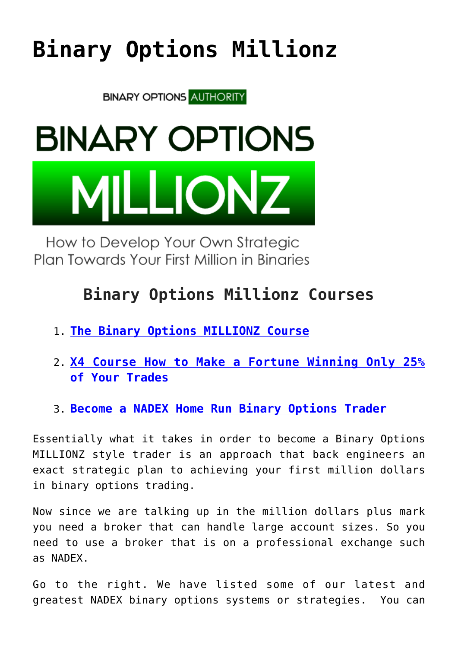## **[Binary Options Millionz](https://binaryoptionsauthority.com/binary-options-millionz/)**

**BINARY OPTIONS AUTHORITY** 

# **BINARY OPTIONS LIONZ**

How to Develop Your Own Strategic Plan Towards Your First Million in Binaries

### **Binary Options Millionz Courses**

- 1. **[The Binary Options MILLIONZ Course](https://binaryoptionsauthority.com/binary-options-millionz-course/)**
- 2. **[X4 Course How to Make a Fortune Winning Only 25%](https://binaryoptionsauthority.com/nadex-x4-make-fortune-winning-25-time/) [of Your Trades](https://binaryoptionsauthority.com/nadex-x4-make-fortune-winning-25-time/)**
- 3. **[Become a NADEX Home Run Binary Options Trader](https://binaryoptionsauthority.com/nadex-home-run-trading-course/)**

Essentially what it takes in order to become a Binary Options MILLIONZ style trader is an approach that back engineers an exact strategic plan to achieving your first million dollars in binary options trading.

Now since we are talking up in the million dollars plus mark you need a broker that can handle large account sizes. So you need to use a broker that is on a professional exchange such as NADEX.

Go to the right. We have listed some of our latest and greatest NADEX binary options systems or strategies. You can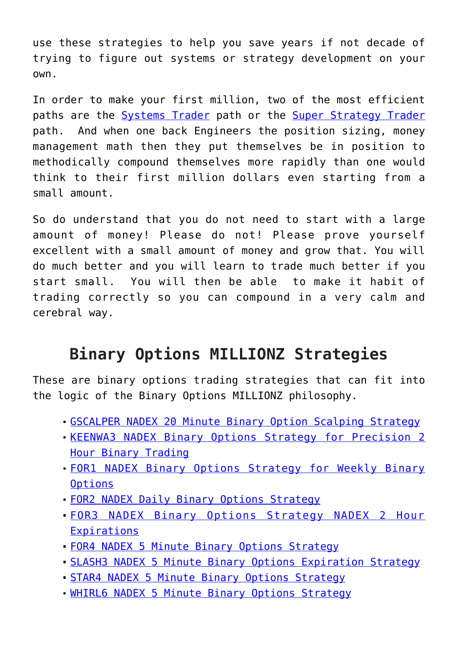use these strategies to help you save years if not decade of trying to figure out systems or strategy development on your own.

In order to make your first million, two of the most efficient paths are the [Systems Trader](https://binaryoptionsauthority.com/nadex-x4-make-fortune-winning-25-time/) path or the [Super Strategy Trader](https://binaryoptionsauthority.com/binary-options-super-strategy-trader/) path. And when one back Engineers the position sizing, money management math then they put themselves be in position to methodically compound themselves more rapidly than one would think to their first million dollars even starting from a small amount.

So do understand that you do not need to start with a large amount of money! Please do not! Please prove yourself excellent with a small amount of money and grow that. You will do much better and you will learn to trade much better if you start small. You will then be able to make it habit of trading correctly so you can compound in a very calm and cerebral way.

#### **Binary Options MILLIONZ Strategies**

These are binary options trading strategies that can fit into the logic of the Binary Options MILLIONZ philosophy.

- [GSCALPER NADEX 20 Minute Binary Option Scalping Strategy](https://binaryoptionsauthority.com/gscalper-nadex-20-minute-binary-option-scalping-strategy/)
- [KEENWA3 NADEX Binary Options Strategy for Precision 2](https://binaryoptionsauthority.com/keenwa3-nadex-binary-options-strategy-precision-2-hour-binary-trading/) [Hour Binary Trading](https://binaryoptionsauthority.com/keenwa3-nadex-binary-options-strategy-precision-2-hour-binary-trading/)
- [FOR1 NADEX Binary Options Strategy for Weekly Binary](https://binaryoptionsauthority.com/for1-nadex-binary-options-strategy-weekly-binary-options/) **[Options](https://binaryoptionsauthority.com/for1-nadex-binary-options-strategy-weekly-binary-options/)**
- [FOR2 NADEX Daily Binary Options Strategy](https://binaryoptionsauthority.com/for2-nadex-daily-binary-options-strategy/)
- [FOR3 NADEX Binary Options Strategy NADEX 2 Hour](https://binaryoptionsauthority.com/for3-nadex-binary-options-strategy-nadex-2-hour-expirations/) [Expirations](https://binaryoptionsauthority.com/for3-nadex-binary-options-strategy-nadex-2-hour-expirations/)
- [FOR4 NADEX 5 Minute Binary Options Strategy](https://binaryoptionsauthority.com/for4-nadex-5-minute-binary-options-strategy/)
- [SLASH3 NADEX 5 Minute Binary Options Expiration Strategy](https://binaryoptionsauthority.com/slash3-nadex-5-minute-binary-options-expiration-strategy/)
- [STAR4 NADEX 5 Minute Binary Options Strategy](https://binaryoptionsauthority.com/star4-nadex-5-minute-binary-options-strategy/)
- [WHIRL6 NADEX 5 Minute Binary Options Strategy](https://binaryoptionsauthority.com/whilr6-nadex-5-minute-binary-options-strategy/)